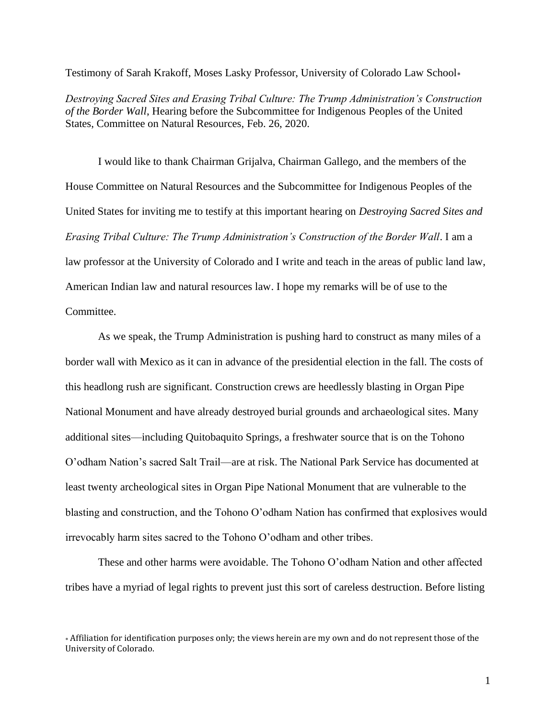Testimony of Sarah Krakoff, Moses Lasky Professor, University of Colorado Law School

*Destroying Sacred Sites and Erasing Tribal Culture: The Trump Administration's Construction of the Border Wall*, Hearing before the Subcommittee for Indigenous Peoples of the United States, Committee on Natural Resources, Feb. 26, 2020.

I would like to thank Chairman Grijalva, Chairman Gallego, and the members of the House Committee on Natural Resources and the Subcommittee for Indigenous Peoples of the United States for inviting me to testify at this important hearing on *Destroying Sacred Sites and Erasing Tribal Culture: The Trump Administration's Construction of the Border Wall*. I am a law professor at the University of Colorado and I write and teach in the areas of public land law, American Indian law and natural resources law. I hope my remarks will be of use to the Committee.

As we speak, the Trump Administration is pushing hard to construct as many miles of a border wall with Mexico as it can in advance of the presidential election in the fall. The costs of this headlong rush are significant. Construction crews are heedlessly blasting in Organ Pipe National Monument and have already destroyed burial grounds and archaeological sites. Many additional sites—including Quitobaquito Springs, a freshwater source that is on the Tohono O'odham Nation's sacred Salt Trail—are at risk. The National Park Service has documented at least twenty archeological sites in Organ Pipe National Monument that are vulnerable to the blasting and construction, and the Tohono O'odham Nation has confirmed that explosives would irrevocably harm sites sacred to the Tohono O'odham and other tribes.

These and other harms were avoidable. The Tohono O'odham Nation and other affected tribes have a myriad of legal rights to prevent just this sort of careless destruction. Before listing

Affiliation for identification purposes only; the views herein are my own and do not represent those of the University of Colorado.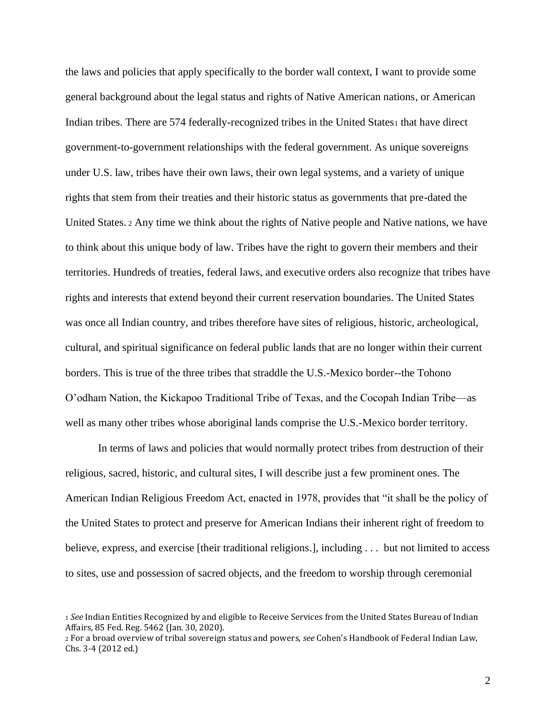the laws and policies that apply specifically to the border wall context, I want to provide some general background about the legal status and rights of Native American nations, or American Indian tribes. There are 574 federally-recognized tribes in the United States1 that have direct government-to-government relationships with the federal government. As unique sovereigns under U.S. law, tribes have their own laws, their own legal systems, and a variety of unique rights that stem from their treaties and their historic status as governments that pre-dated the United States. <sup>2</sup> Any time we think about the rights of Native people and Native nations, we have to think about this unique body of law. Tribes have the right to govern their members and their territories. Hundreds of treaties, federal laws, and executive orders also recognize that tribes have rights and interests that extend beyond their current reservation boundaries. The United States was once all Indian country, and tribes therefore have sites of religious, historic, archeological, cultural, and spiritual significance on federal public lands that are no longer within their current borders. This is true of the three tribes that straddle the U.S.-Mexico border--the Tohono O'odham Nation, the Kickapoo Traditional Tribe of Texas, and the Cocopah Indian Tribe—as well as many other tribes whose aboriginal lands comprise the U.S.-Mexico border territory.

In terms of laws and policies that would normally protect tribes from destruction of their religious, sacred, historic, and cultural sites, I will describe just a few prominent ones. The American Indian Religious Freedom Act, enacted in 1978, provides that "it shall be the policy of the United States to protect and preserve for American Indians their inherent right of freedom to believe, express, and exercise [their traditional religions.], including . . . but not limited to access to sites, use and possession of sacred objects, and the freedom to worship through ceremonial

<sup>1</sup> *See* Indian Entities Recognized by and eligible to Receive Services from the United States Bureau of Indian Affairs, 85 Fed. Reg. 5462 (Jan. 30, 2020).

<sup>2</sup> For a broad overview of tribal sovereign status and powers, *see* Cohen's Handbook of Federal Indian Law, Chs. 3-4 (2012 ed.)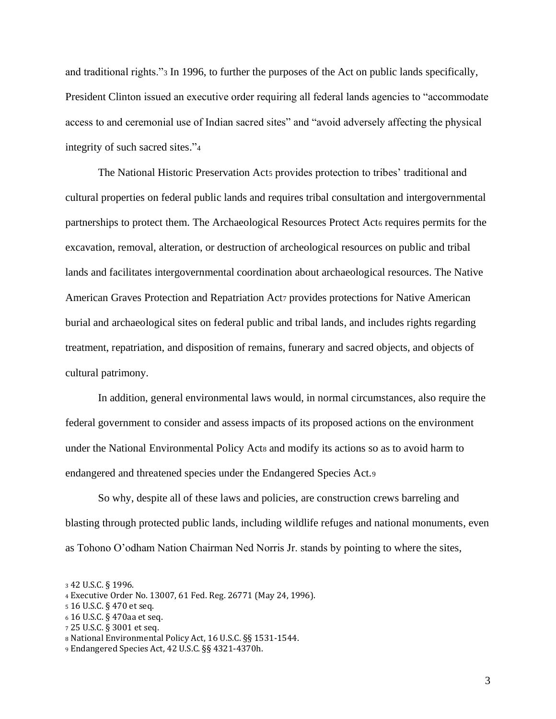and traditional rights."<sup>3</sup> In 1996, to further the purposes of the Act on public lands specifically, President Clinton issued an executive order requiring all federal lands agencies to "accommodate access to and ceremonial use of Indian sacred sites" and "avoid adversely affecting the physical integrity of such sacred sites."<sup>4</sup>

The National Historic Preservation Acts provides protection to tribes' traditional and cultural properties on federal public lands and requires tribal consultation and intergovernmental partnerships to protect them. The Archaeological Resources Protect Act<sub>6</sub> requires permits for the excavation, removal, alteration, or destruction of archeological resources on public and tribal lands and facilitates intergovernmental coordination about archaeological resources. The Native American Graves Protection and Repatriation Act7 provides protections for Native American burial and archaeological sites on federal public and tribal lands, and includes rights regarding treatment, repatriation, and disposition of remains, funerary and sacred objects, and objects of cultural patrimony.

In addition, general environmental laws would, in normal circumstances, also require the federal government to consider and assess impacts of its proposed actions on the environment under the National Environmental Policy Act<sup>8</sup> and modify its actions so as to avoid harm to endangered and threatened species under the Endangered Species Act.<sup>9</sup>

So why, despite all of these laws and policies, are construction crews barreling and blasting through protected public lands, including wildlife refuges and national monuments, even as Tohono O'odham Nation Chairman Ned Norris Jr. stands by pointing to where the sites,

<sup>3</sup> 42 U.S.C. § 1996.

<sup>4</sup> Executive Order No. 13007, 61 Fed. Reg. 26771 (May 24, 1996).

<sup>5</sup> 16 U.S.C. § 470 et seq.

<sup>6</sup> 16 U.S.C. § 470aa et seq.

<sup>7</sup> 25 U.S.C. § 3001 et seq.

<sup>8</sup> National Environmental Policy Act, 16 U.S.C. §§ 1531-1544.

<sup>9</sup> Endangered Species Act, 42 U.S.C. §§ 4321-4370h.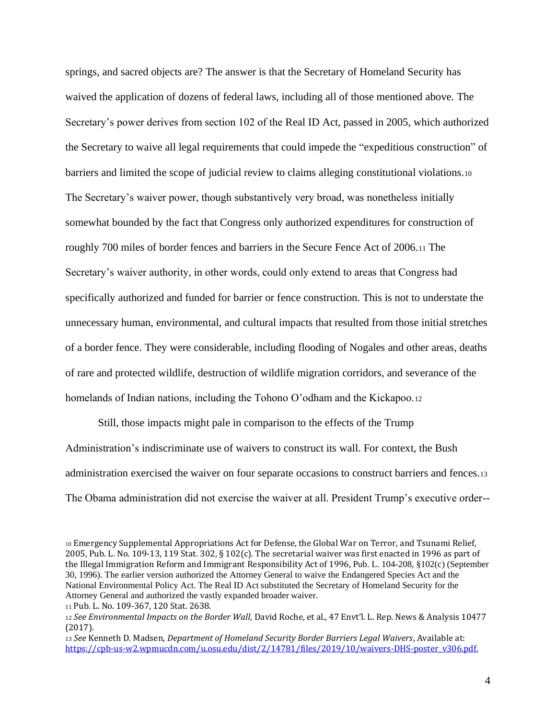springs, and sacred objects are? The answer is that the Secretary of Homeland Security has waived the application of dozens of federal laws, including all of those mentioned above. The Secretary's power derives from section 102 of the Real ID Act, passed in 2005, which authorized the Secretary to waive all legal requirements that could impede the "expeditious construction" of barriers and limited the scope of judicial review to claims alleging constitutional violations.<sup>10</sup> The Secretary's waiver power, though substantively very broad, was nonetheless initially somewhat bounded by the fact that Congress only authorized expenditures for construction of roughly 700 miles of border fences and barriers in the Secure Fence Act of 2006.<sup>11</sup> The Secretary's waiver authority, in other words, could only extend to areas that Congress had specifically authorized and funded for barrier or fence construction. This is not to understate the unnecessary human, environmental, and cultural impacts that resulted from those initial stretches of a border fence. They were considerable, including flooding of Nogales and other areas, deaths of rare and protected wildlife, destruction of wildlife migration corridors, and severance of the homelands of Indian nations, including the Tohono O'odham and the Kickapoo.<sup>12</sup>

Still, those impacts might pale in comparison to the effects of the Trump Administration's indiscriminate use of waivers to construct its wall. For context, the Bush administration exercised the waiver on four separate occasions to construct barriers and fences.<sup>13</sup> The Obama administration did not exercise the waiver at all. President Trump's executive order--

<sup>10</sup> Emergency Supplemental Appropriations Act for Defense, the Global War on Terror, and Tsunami Relief, 2005, Pub. L. No. 109-13, 119 Stat. 302, § 102(c). The secretarial waiver was first enacted in 1996 as part of the Illegal Immigration Reform and Immigrant Responsibility Act of 1996, Pub. L. 104-208, §102(c) (September 30, 1996). The earlier version authorized the Attorney General to waive the Endangered Species Act and the National Environmental Policy Act. The Real ID Act substituted the Secretary of Homeland Security for the Attorney General and authorized the vastly expanded broader waiver.

<sup>11</sup> Pub. L. No. 109-367, 120 Stat. 2638.

<sup>12</sup> *See Environmental Impacts on the Border Wall*, David Roche, et al., 47 Envt'l. L. Rep. News & Analysis 10477 (2017).

<sup>13</sup> *See* Kenneth D. Madsen, *Department of Homeland Security Border Barriers Legal Waivers*, Available at: [https://cpb-us-w2.wpmucdn.com/u.osu.edu/dist/2/14781/files/2019/10/waivers-DHS-poster\\_v306.pdf.](https://cpb-us-w2.wpmucdn.com/u.osu.edu/dist/2/14781/files/2019/10/waivers-DHS-poster_v306.pdf)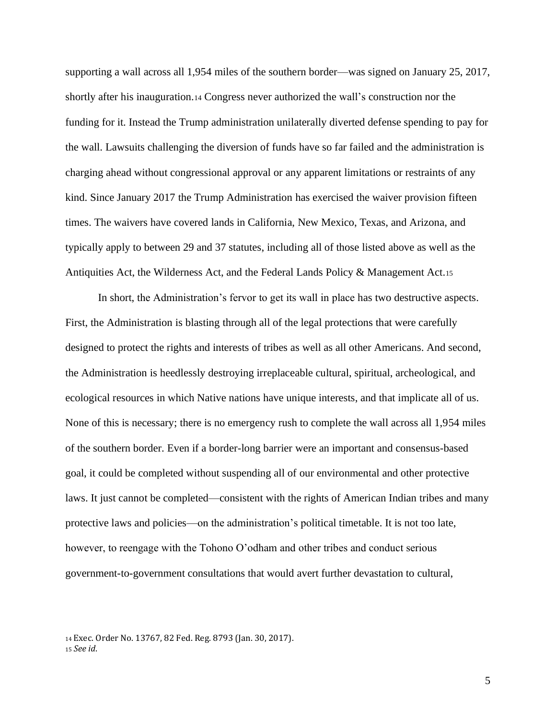supporting a wall across all 1,954 miles of the southern border—was signed on January 25, 2017, shortly after his inauguration.<sup>14</sup> Congress never authorized the wall's construction nor the funding for it. Instead the Trump administration unilaterally diverted defense spending to pay for the wall. Lawsuits challenging the diversion of funds have so far failed and the administration is charging ahead without congressional approval or any apparent limitations or restraints of any kind. Since January 2017 the Trump Administration has exercised the waiver provision fifteen times. The waivers have covered lands in California, New Mexico, Texas, and Arizona, and typically apply to between 29 and 37 statutes, including all of those listed above as well as the Antiquities Act, the Wilderness Act, and the Federal Lands Policy & Management Act.<sup>15</sup>

In short, the Administration's fervor to get its wall in place has two destructive aspects. First, the Administration is blasting through all of the legal protections that were carefully designed to protect the rights and interests of tribes as well as all other Americans. And second, the Administration is heedlessly destroying irreplaceable cultural, spiritual, archeological, and ecological resources in which Native nations have unique interests, and that implicate all of us. None of this is necessary; there is no emergency rush to complete the wall across all 1,954 miles of the southern border. Even if a border-long barrier were an important and consensus-based goal, it could be completed without suspending all of our environmental and other protective laws. It just cannot be completed—consistent with the rights of American Indian tribes and many protective laws and policies—on the administration's political timetable. It is not too late, however, to reengage with the Tohono O'odham and other tribes and conduct serious government-to-government consultations that would avert further devastation to cultural,

<sup>14</sup> Exec. Order No. 13767, 82 Fed. Reg. 8793 (Jan. 30, 2017). <sup>15</sup> *See id*.